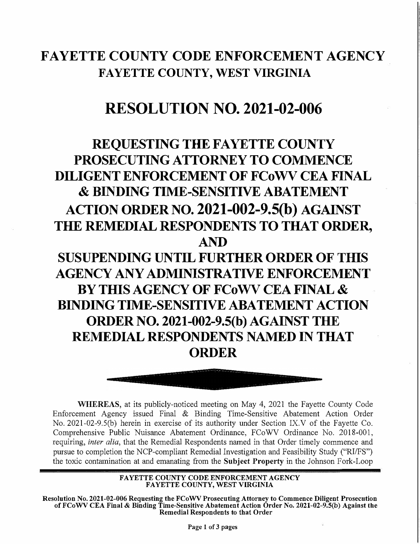## **FAYETTE COUNTY CODE ENFORCEMENT AGENCY FAYETTE COUNTY, WEST VIRGINIA**

## **RESOLUTION NO. 2021-02-006**

## **REQUESTING THE FAYETTE COUNTY PROSECUTING ATTORNEY TO COMMENCE DILIGENT ENFORCEMENT OF FCoWV CEA FINAL & BINDING TIME-SENSITIVE ABATEMENT ACTION ORDER NO. 2021-002-9.S(b) AGAINST THE REMEDIAL RESPONDENTS TO THAT ORDER, AND SUSUPENDING UNTIL FURTHER ORDER OF THIS AGENCY ANY ADMINISTRATIVE ENFORCEMENT BY THIS AGENCY OF FCOWV CEA FINAL & BINDING TIME-SENSITIVE ABATEMENT ACTION ORDER NO. 2021-002-9.S(b) AGAINST THE REMEDIAL RESPONDENTS NAMED 1N THAT ORDER**



**WHEREAS,** at its publicly-noticed meeting on May 4, 2021 the Fayette County Code Enforcement Agency issued Final & Binding Time-Sensitive Abatement Action Order No. 2021-02-9.S(b) herein in exercise of its authority under Section IX.V of the Fayette Co. Comprehensive Public Nuisance Abatement Ordinance, FCoWV Ordinance No. 2018-001, requiring, *inter alia,* that the Remedial Respondents named in that Order timely commence and pursue to completion the NCP-compliant Remediai lnvestigation and Feasibility Study ("RI/FS") the toxic contamination at and emanating from the **Subject Property** in the Johnson Fork-Loop

> **FAYETTE COUNTY CODE ENFORCEMENT AGENCY FAYETTE COUNTY, WEST VIRGINIA**

**Resolution No. 2021-02-006 Requesting the FCoWV Prosecuting Attorney to Commence Diligent Prosecution of FC o WV CEA Final & Binding Time-Sensitive Abatement Action Order No. 2021-02-9.S(b) Against the Remediai Respondents to that Order** 

**Page 1 of 3 pages**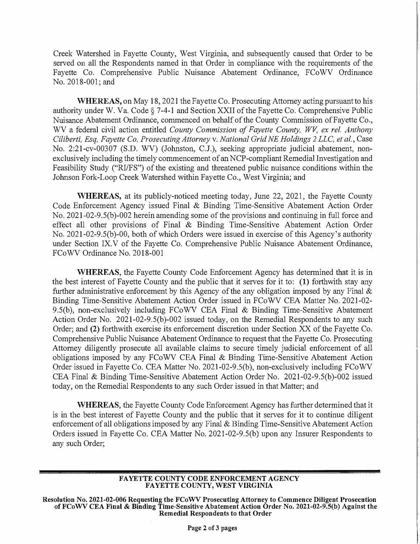Creek Watershed in Fayette County, West Virgínia, and subsequently caused that Order to be served on ali the Respondents named in that Order in compliance with the requirements of the Fayette Co. Comprehensive Public Nuisance Abatement Ordinance, FCoWV Ordinance No. 2018-001; and

**WHEREAS,** on May 18, 2021 the Fayette Co. Prosecuting Attorney acting pursuant to his authority under W. Va. Code  $\S$  7-4-1 and Section XXII of the Fayette Co. Comprehensive Public Nuisance Abatement Ordinance, commenced on behalf of the County Commission of Fayette Co., WV a federal civil action entitled *County Commission of Fayette County, WV, ex rei. Anthony Ciliberti, Esq, Fayette Co. Prosecuting Attorney* v. *National Grid NE Holdings 2 LLC, et ai.,* Case No. 2:21-cv-00307 (S.D. WV) (Johnston, C.J.), seeking appropriate judicial abatement, nonexclusively including the timely commencement of an NCP-compliant Remedial Investigation and Feasibility Study ("RI/FS") of the existing and threatened public nuisance conditions within the Johnson Fork-Loop Creek Watershed within Fayette Co., West Virgínia; and

**WHEREAS,** at its publicly-noticed meeting today, June 22, 2021, the Fayette County Code Enforcement Agency issued Final & Binding Time-Sensitive Abatement Action Order No. 2021-02-9.5(b)-002 herein amending some of the provisions and continuing in full force and effect ali other provisions of Final & Binding Time-Sensitive Abatement Action Order No. 2021-02-9.5(b)-00, both of which Orders were issued in exercise of this Agency's authority under Section IX.V of the Fayette Co. Comprehensive Public Nuisance Abatement Ordinance, FCoWV Ordinance No. 2018-001

**WHEREAS,** the Fayette County Code Enforcement Agency has determined that it is in the best interest of Fayette County and the public that it serves for it to: **(1)** forthwith stay any further administrative enforcement by this Agency of the any obligation imposed by any Final  $\&$ Binding Time-Sensitive Abatement Action Order issued in FCoWV CEA Matter No. 2021-02- 9.S(b), non-exclusively including FCoWV CEA Final & Binding Time-Sensitive Abatement Action Order No. 2021-02-9.S(b)-002 issued today, on the Remediai Respondents to any such Order; and (2) forthwith exercise its enforcement discretion under Section XX of the Fayette Co. Comprehensive Public Nuisance Abatement Ordinance to request that the Fayette Co. Prosecuting Attorney diligently prosecute all available claims to secure timely judicial enforcement of ali obligations imposed by any FCoWV CEA Final & Binding Time-Sensitive Abatement Action Order issued in Fayette Co. CEA Matter No. 2021-02-9.S(b), non-exclusively including FCoWV CEA Final & Binding Time-Sensitive Abatement Action Order No. 2021-02-9.S(b)-002 issued today, on the Remediai Respondents to any such Order issued in that Matter; and

**WHEREAS,** the Fayette County Code Enforcement Agency has further determined that it is in the best interest of Fayette County and the public that it serves for it to continue diligent enforcement of all obligations imposed by any Final & Binding Time-Sensitive Abatement Action Orders issued in Fayette Co. CEA Matter No. 2021-02-9.S(b) upon any Insurer Respondents to any such Order;

## **FAYETTE COUNTY CODE ENFORCEMENT AGENCY FAYETTE COUNTY, WEST VIRGINIA**

**Resolution No. 2021-02-006 Reqnesting the FCoWV Prosecnting Attorney to Commence Diligent Prosecution ofFCoWV CEA Final & Binding Time-Sensitive Abatement Action Order No. 2021-02-9.S(b) Against the Remediai Respondents to that Order**